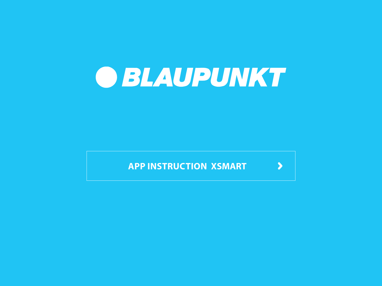

**APP [INSTRUCTION](#page-1-0) XSMART**

 $\blacktriangleright$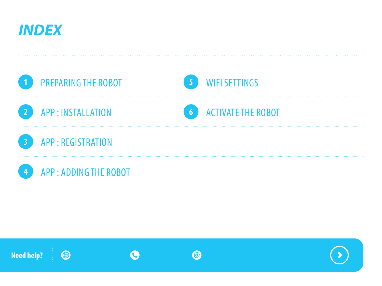<span id="page-1-0"></span>





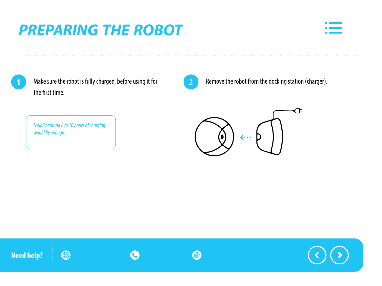# <span id="page-2-0"></span>**PREPARING THE ROBOT**



**1**

Make sure the robot is fully charged, before using it for the first time.



Remove the robot from the docking station (charger).



*Usually around 8 to 10 hours of charging would be enough.*

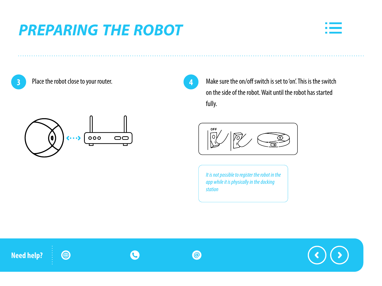### **PREPARING THE ROBOT**



**3**

Place the robot close to your router.



**4**

Make sure the on/off switch is set to 'on'. This is the switch on the side of the robot. Wait until the robot has started fully.



*It is not possible to register the robot in the app while it is physically in the docking station*

**Need help?**

4







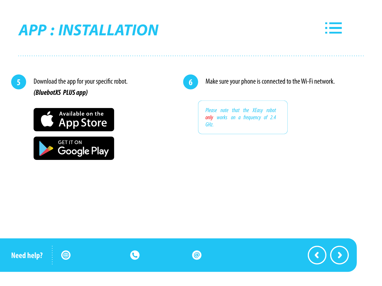# <span id="page-4-0"></span>**APP : INSTALLATION**



Download the app for your specific robot. *(BluebotXS PLUS app)*





**6**

**5** Download the app for your specific robot. **6 6** Make sure your phone is connected to the Wi-Fi network.

*Please note that the XEasy robot only works on a frequency of 2.4 GHz.*

C **Need help?** 4  $\circledcirc$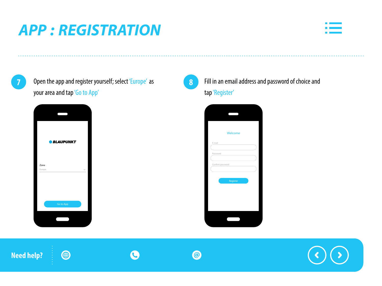# <span id="page-5-0"></span>**APP : REGISTRATION**



Open the app and register yourself; select 'Europe' as your area and tap 'Go to App'





#### Fill in an email address and password of choice and tap 'Register'

| Register |  |
|----------|--|

**Need help?**4 C  $\odot$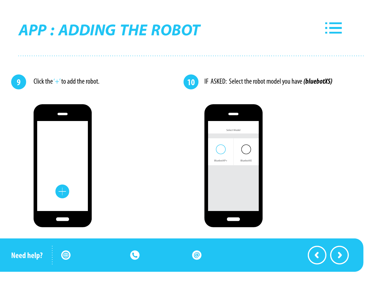### <span id="page-6-0"></span>**APP : ADDING THE ROBOT**



Click the '+' to add the robot. **9 10**





IF ASKED: Select the robot model you have (bluebotXS)



 $\mathbf C$ **Need help?** 4  $\bigcirc$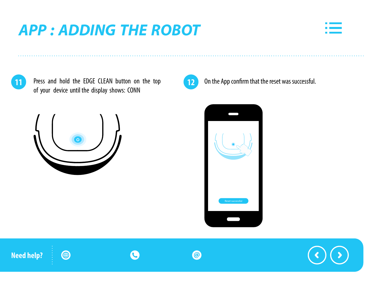# **APP : ADDING THE ROBOT**



**11** Press and hold the EDGE CLEAN button on the top **12** On the App confirm that the reset was successful. of your device until the display shows: CONN







**Need help?** 4 C  $\odot$ 

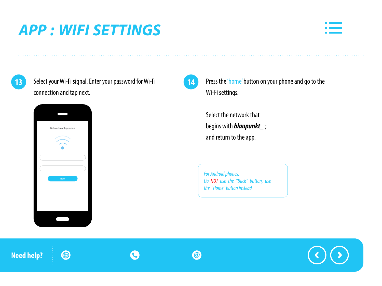# <span id="page-8-0"></span>**APP : WIFI SETTINGS**



**13**

Select your Wi-Fi signal. Enter your password for Wi-Fi connection and tap next.

C



4



 $\odot$ 

Press the 'home' button on your phone and go to the Wi-Fi settings.

Select the network that begins with *blaupunkt\_* ; and return to the app.

*For Android phones: Do NOT use the "Back" button, use the "Home"buttoninstead.*

**Need help?**